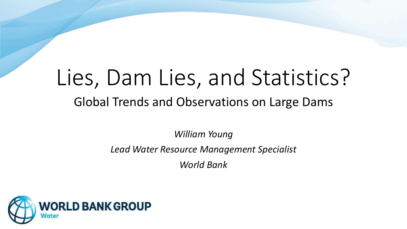# Lies, Dam Lies, and Statistics? Global Trends and Observations on Large Dams

*William Young*

*Lead Water Resource Management Specialist*

*World Bank*

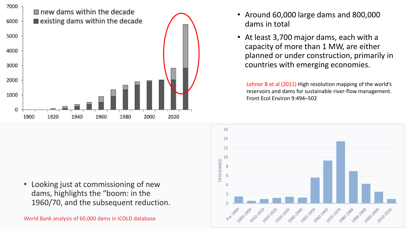

- Around 60,000 large dams and 800,000 dams in total
- At least 3,700 major dams, each with a capacity of more than 1 MW, are either planned or under construction, primarily in countries with emerging economies.

Lehner B et al (2011) High resolution mapping of the world's reservoirs and dams for sustainable river-flow management. Front Ecol Environ 9:494–502



• Looking just at commissioning of new dams, highlights the "boom: in the 1960/70, and the subsequent reduction.

World Bank analysis of 60,000 dams in ICOLD database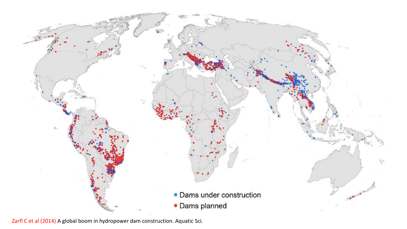

Zarfl C et al (2014) A global boom in hydropower dam construction. Aquatic Sci.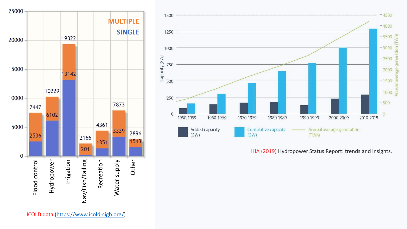



IHA (2019) Hydropower Status Report: trends and insights.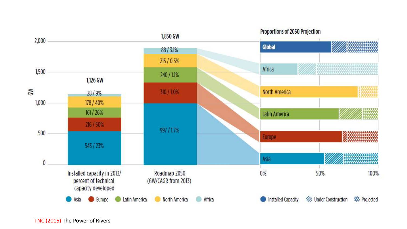

TNC (2015) The Power of Rivers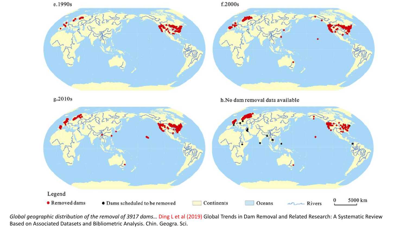

*Global geographic distribution of the removal of 3917 dams…* Ding L et al (2019) Global Trends in Dam Removal and Related Research: A Systematic Review Based on Associated Datasets and Bibliometric Analysis. Chin. Geogra. Sci.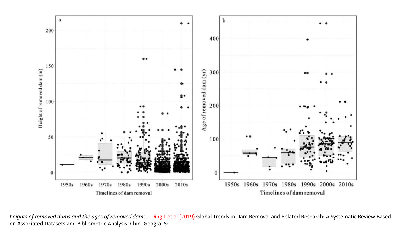

*heights of removed dams and the ages of removed dams…* Ding L et al (2019) Global Trends in Dam Removal and Related Research: A Systematic Review Based on Associated Datasets and Bibliometric Analysis. Chin. Geogra. Sci.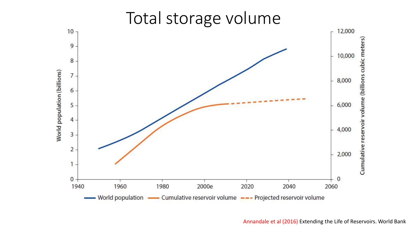

### Total storage volume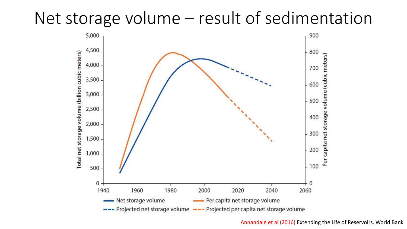## Net storage volume – result of sedimentation



Annandale et al (2016) Extending the Life of Reservoirs. World Bank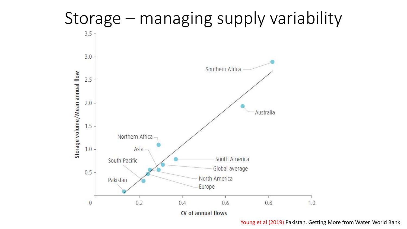

Young et al (2019) Pakistan. Getting More from Water. World Bank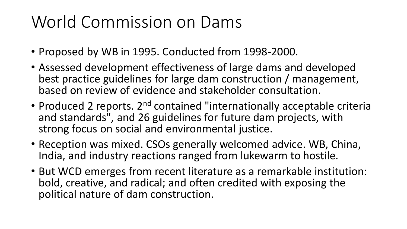## World Commission on Dams

- Proposed by WB in 1995. Conducted from 1998-2000.
- Assessed development effectiveness of large dams and developed best practice guidelines for large dam construction / management, based on review of evidence and stakeholder consultation.
- Produced 2 reports. 2<sup>nd</sup> contained "internationally acceptable criteria and standards", and 26 guidelines for future dam projects, with strong focus on social and environmental justice.
- Reception was mixed. CSOs generally welcomed advice. WB, China, India, and industry reactions ranged from lukewarm to hostile.
- But WCD emerges from recent literature as a remarkable institution: bold, creative, and radical; and often credited with exposing the political nature of dam construction.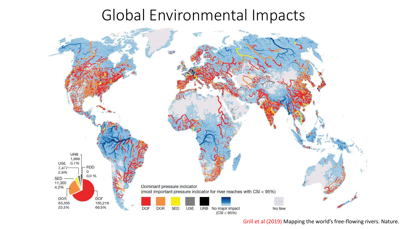### Global Environmental Impacts



Grill et al (2019) Mapping the world's free-flowing rivers. Nature.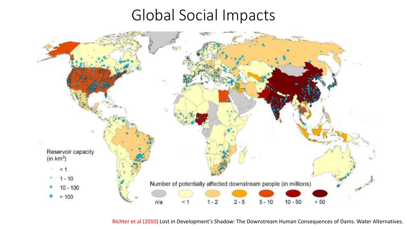## Global Social Impacts



Richter et al (2010) Lost in Development's Shadow: The Downstream Human Consequences of Dams. Water Alternatives.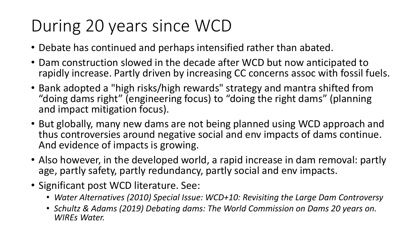## During 20 years since WCD

- Debate has continued and perhaps intensified rather than abated.
- Dam construction slowed in the decade after WCD but now anticipated to rapidly increase. Partly driven by increasing CC concerns assoc with fossil fuels.
- Bank adopted a "high risks/high rewards" strategy and mantra shifted from "doing dams right" (engineering focus) to "doing the right dams" (planning and impact mitigation focus).
- But globally, many new dams are not being planned using WCD approach and thus controversies around negative social and env impacts of dams continue. And evidence of impacts is growing.
- Also however, in the developed world, a rapid increase in dam removal: partly age, partly safety, partly redundancy, partly social and env impacts.
- Significant post WCD literature. See:
	- *Water Alternatives (2010) Special Issue: WCD+10: Revisiting the Large Dam Controversy*
	- *Schultz & Adams (2019) Debating dams: The World Commission on Dams 20 years on. WIREs Water.*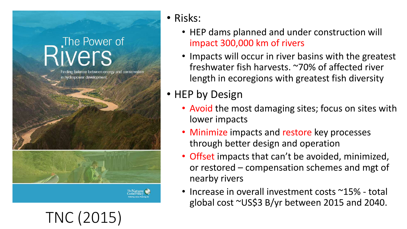## The Power of vers

TNC (2015)

inding balance between energy and conservation in hydropower development

#### • Risks:

- HEP dams planned and under construction will impact 300,000 km of rivers
- Impacts will occur in river basins with the greatest freshwater fish harvests. ~70% of affected river length in ecoregions with greatest fish diversity

#### • HEP by Design

- Avoid the most damaging sites; focus on sites with lower impacts
- Minimize impacts and restore key processes through better design and operation
- Offset impacts that can't be avoided, minimized, or restored – compensation schemes and mgt of nearby rivers
- Increase in overall investment costs ~15% total global cost ~US\$3 B/yr between 2015 and 2040.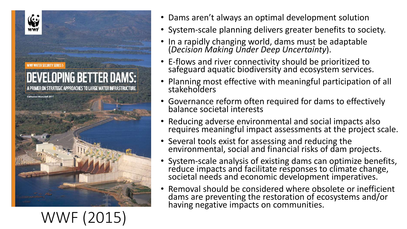

#### • Dams aren't always an optimal development solution

- System-scale planning delivers greater benefits to society.
- In a rapidly changing world, dams must be adaptable (*Decision Making Under Deep Uncertainty*).
- E-flows and river connectivity should be prioritized to safeguard aquatic biodiversity and ecosystem services.
- Planning most effective with meaningful participation of all stakeholders
- Governance reform often required for dams to effectively balance societal interests
- Reducing adverse environmental and social impacts also requires meaningful impact assessments at the project scale.
- Several tools exist for assessing and reducing the environmental, social and financial risks of dam projects.
- System-scale analysis of existing dams can optimize benefits, reduce impacts and facilitate responses to climate change, societal needs and economic development imperatives.
- Removal should be considered where obsolete or inefficient dams are preventing the restoration of ecosystems and/or having negative impacts on communities.